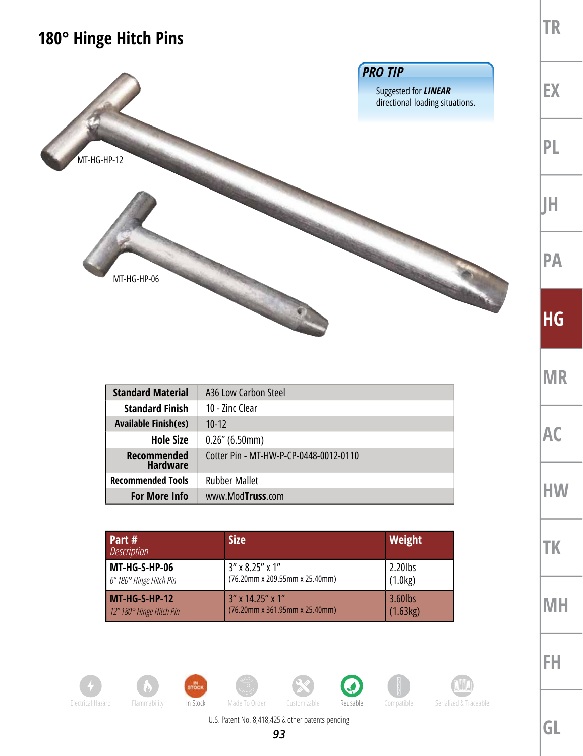## **180° Hinge Hitch Pins**



| <b>Standard Material</b>              | A36 Low Carbon Steel                   |
|---------------------------------------|----------------------------------------|
| <b>Standard Finish</b>                | 10 - Zinc Clear                        |
| <b>Available Finish(es)</b>           | $10 - 12$                              |
| <b>Hole Size</b>                      | $0.26''$ (6.50mm)                      |
| <b>Recommended</b><br><b>Hardware</b> | Cotter Pin - MT-HW-P-CP-0448-0012-0110 |
| <b>Recommended Tools</b>              | <b>Rubber Mallet</b>                   |
| <b>For More Info</b>                  | www.ModTruss.com                       |

| <b>Part #</b><br><b>Description</b> | <b>Size</b>                    | <b>Weight</b> |
|-------------------------------------|--------------------------------|---------------|
| MT-HG-S-HP-06                       | 3" x 8.25" x 1"                | $2.20$ lbs    |
| 6" 180° Hinge Hitch Pin             | (76.20mm x 209.55mm x 25.40mm) | (1.0kg)       |
| MT-HG-S-HP-12                       | $3''$ x 14.25" x 1"            | 3.60lbs       |
| 12" 180° Hinge Hitch Pin            | (76.20mm x 361.95mm x 25.40mm) | (1.63kg)      |



**MR**

**AC**

**HW**

**TR**

**FH**







**GL**